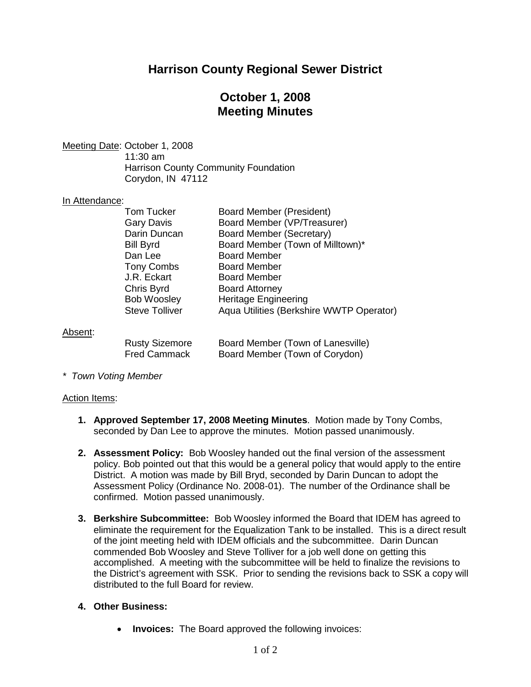# **Harrison County Regional Sewer District**

## **October 1, 2008 Meeting Minutes**

Meeting Date: October 1, 2008

11:30 am Harrison County Community Foundation Corydon, IN 47112

### In Attendance:

| <b>Tom Tucker</b>     | Board Member (President)                 |
|-----------------------|------------------------------------------|
| Gary Davis            | Board Member (VP/Treasurer)              |
| Darin Duncan          | Board Member (Secretary)                 |
| Bill Byrd             | Board Member (Town of Milltown)*         |
| Dan Lee               | <b>Board Member</b>                      |
| Tony Combs            | <b>Board Member</b>                      |
| J.R. Eckart           | <b>Board Member</b>                      |
| Chris Byrd            | <b>Board Attorney</b>                    |
| <b>Bob Woosley</b>    | <b>Heritage Engineering</b>              |
| <b>Steve Tolliver</b> | Aqua Utilities (Berkshire WWTP Operator) |
|                       |                                          |

### Absent:

| <b>Rusty Sizemore</b> |  |
|-----------------------|--|
| <b>Fred Cammack</b>   |  |

Board Member (Town of Lanesville) Board Member (Town of Corydon)

*\* Town Voting Member*

### Action Items:

- **1. Approved September 17, 2008 Meeting Minutes**. Motion made by Tony Combs, seconded by Dan Lee to approve the minutes. Motion passed unanimously.
- **2. Assessment Policy:** Bob Woosley handed out the final version of the assessment policy. Bob pointed out that this would be a general policy that would apply to the entire District. A motion was made by Bill Bryd, seconded by Darin Duncan to adopt the Assessment Policy (Ordinance No. 2008-01). The number of the Ordinance shall be confirmed. Motion passed unanimously.
- **3. Berkshire Subcommittee:** Bob Woosley informed the Board that IDEM has agreed to eliminate the requirement for the Equalization Tank to be installed. This is a direct result of the joint meeting held with IDEM officials and the subcommittee. Darin Duncan commended Bob Woosley and Steve Tolliver for a job well done on getting this accomplished. A meeting with the subcommittee will be held to finalize the revisions to the District's agreement with SSK. Prior to sending the revisions back to SSK a copy will distributed to the full Board for review.

## **4. Other Business:**

**Invoices:** The Board approved the following invoices: